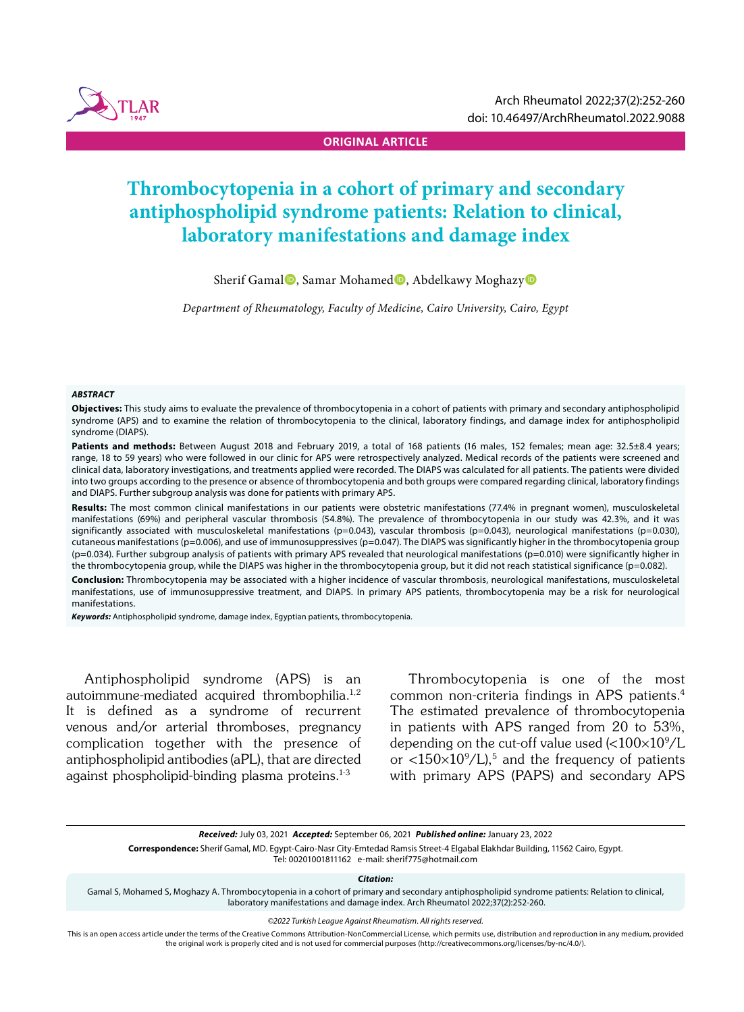

**ORIGINAL ARTICLE**

# **Thrombocytopenia in a cohort of primary and secondary antiphospholipid syndrome patients: Relation to clinical, laboratory manifestations and damage index**

Sherif Gamal<sup>®</sup>, Samar Mohamed<sup>®</sup>, Abdelkawy Moghazy<sup>®</sup>

*Department of Rheumatology, Faculty of Medicine, Cairo University, Cairo, Egypt*

#### *ABSTRACT*

**Objectives:** This study aims to evaluate the prevalence of thrombocytopenia in a cohort of patients with primary and secondary antiphospholipid syndrome (APS) and to examine the relation of thrombocytopenia to the clinical, laboratory findings, and damage index for antiphospholipid syndrome (DIAPS).

Patients and methods: Between August 2018 and February 2019, a total of 168 patients (16 males, 152 females; mean age: 32.5±8.4 years; range, 18 to 59 years) who were followed in our clinic for APS were retrospectively analyzed. Medical records of the patients were screened and clinical data, laboratory investigations, and treatments applied were recorded. The DIAPS was calculated for all patients. The patients were divided into two groups according to the presence or absence of thrombocytopenia and both groups were compared regarding clinical, laboratory findings and DIAPS. Further subgroup analysis was done for patients with primary APS.

**Results:** The most common clinical manifestations in our patients were obstetric manifestations (77.4% in pregnant women), musculoskeletal manifestations (69%) and peripheral vascular thrombosis (54.8%). The prevalence of thrombocytopenia in our study was 42.3%, and it was significantly associated with musculoskeletal manifestations (p=0.043), vascular thrombosis (p=0.043), neurological manifestations (p=0.030), cutaneous manifestations (p=0.006), and use of immunosuppressives (p=0.047). The DIAPS was significantly higher in the thrombocytopenia group (p=0.034). Further subgroup analysis of patients with primary APS revealed that neurological manifestations (p=0.010) were significantly higher in the thrombocytopenia group, while the DIAPS was higher in the thrombocytopenia group, but it did not reach statistical significance (p=0.082).

**Conclusion:** Thrombocytopenia may be associated with a higher incidence of vascular thrombosis, neurological manifestations, musculoskeletal manifestations, use of immunosuppressive treatment, and DIAPS. In primary APS patients, thrombocytopenia may be a risk for neurological manifestations.

*Keywords:* Antiphospholipid syndrome, damage index, Egyptian patients, thrombocytopenia.

Antiphospholipid syndrome (APS) is an autoimmune-mediated acquired thrombophilia.1,2 It is defined as a syndrome of recurrent venous and/or arterial thromboses, pregnancy complication together with the presence of antiphospholipid antibodies (aPL), that are directed against phospholipid-binding plasma proteins. $1-3$ 

Thrombocytopenia is one of the most common non-criteria findings in APS patients.4 The estimated prevalence of thrombocytopenia in patients with APS ranged from 20 to 53%, depending on the cut-off value used (< $100\times10^9$ /L or  $\langle 150 \times 10^9 / L \rangle$ ,<sup>5</sup> and the frequency of patients with primary APS (PAPS) and secondary APS

**Correspondence:** Sherif Gamal, MD. Egypt-Cairo-Nasr City-Emtedad Ramsis Street-4 Elgabal Elakhdar Building, 11562 Cairo, Egypt. Tel: 00201001811162 e-mail: sherif775@hotmail.com

*Citation:*

Gamal S, Mohamed S, Moghazy A. Thrombocytopenia in a cohort of primary and secondary antiphospholipid syndrome patients: Relation to clinical, laboratory manifestations and damage index. Arch Rheumatol 2022;37(2):252-260.

*©2022 Turkish League Against Rheumatism. All rights reserved.*

This is an open access article under the terms of the Creative Commons Attribution-NonCommercial License, which permits use, distribution and reproduction in any medium, provided the original work is properly cited and is not used for commercial purposes (http://creativecommons.org/licenses/by-nc/4.0/).

*Received:* July 03, 2021 *Accepted:* September 06, 2021 *Published online:* January 23, 2022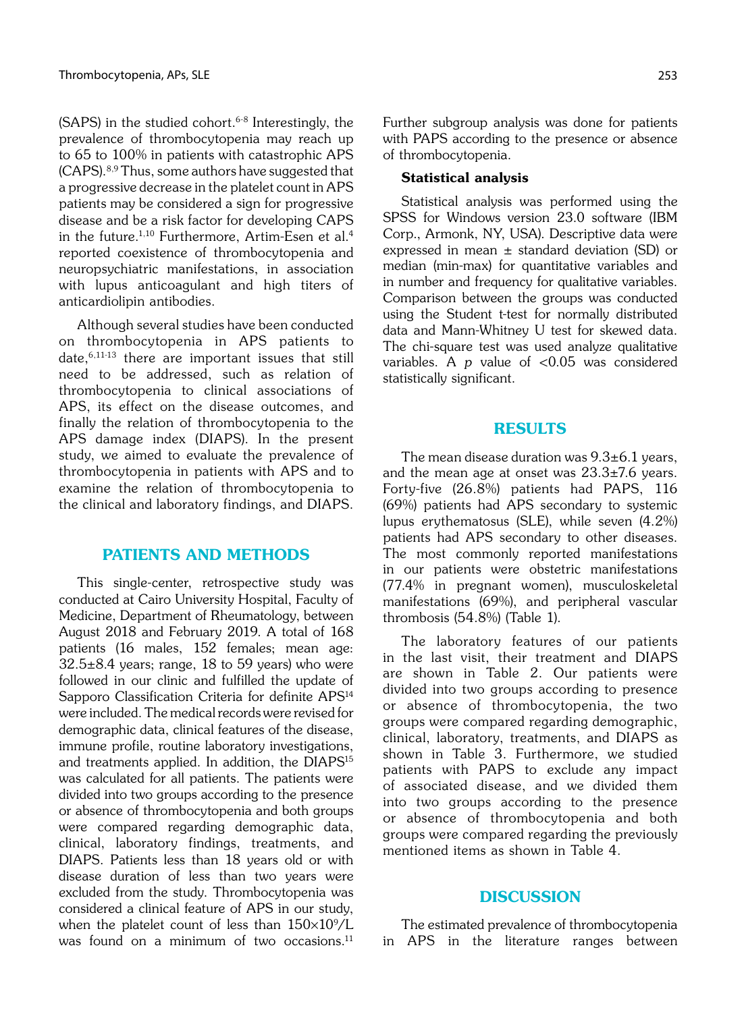(SAPS) in the studied cohort. $6-8$  Interestingly, the prevalence of thrombocytopenia may reach up to 65 to 100% in patients with catastrophic APS (CAPS).8,9 Thus, some authors have suggested that a progressive decrease in the platelet count in APS patients may be considered a sign for progressive disease and be a risk factor for developing CAPS in the future.<sup>1,10</sup> Furthermore, Artim-Esen et al.<sup>4</sup> reported coexistence of thrombocytopenia and neuropsychiatric manifestations, in association with lupus anticoagulant and high titers of anticardiolipin antibodies.

Although several studies have been conducted on thrombocytopenia in APS patients to date,6,11-13 there are important issues that still need to be addressed, such as relation of thrombocytopenia to clinical associations of APS, its effect on the disease outcomes, and finally the relation of thrombocytopenia to the APS damage index (DIAPS). In the present study, we aimed to evaluate the prevalence of thrombocytopenia in patients with APS and to examine the relation of thrombocytopenia to the clinical and laboratory findings, and DIAPS.

### PATIENTS AND METHODS

This single-center, retrospective study was conducted at Cairo University Hospital, Faculty of Medicine, Department of Rheumatology, between August 2018 and February 2019. A total of 168 patients (16 males, 152 females; mean age: 32.5±8.4 years; range, 18 to 59 years) who were followed in our clinic and fulfilled the update of Sapporo Classification Criteria for definite APS<sup>14</sup> were included. The medical records were revised for demographic data, clinical features of the disease, immune profile, routine laboratory investigations, and treatments applied. In addition, the DIAPS<sup>15</sup> was calculated for all patients. The patients were divided into two groups according to the presence or absence of thrombocytopenia and both groups were compared regarding demographic data, clinical, laboratory findings, treatments, and DIAPS. Patients less than 18 years old or with disease duration of less than two years were excluded from the study. Thrombocytopenia was considered a clinical feature of APS in our study, when the platelet count of less than  $150\times10^9/\text{L}$ was found on a minimum of two occasions. $11$ 

Further subgroup analysis was done for patients with PAPS according to the presence or absence of thrombocytopenia.

#### Statistical analysis

Statistical analysis was performed using the SPSS for Windows version 23.0 software (IBM Corp., Armonk, NY, USA). Descriptive data were expressed in mean  $\pm$  standard deviation (SD) or median (min-max) for quantitative variables and in number and frequency for qualitative variables. Comparison between the groups was conducted using the Student t-test for normally distributed data and Mann-Whitney U test for skewed data. The chi-square test was used analyze qualitative variables. A  $p$  value of  $< 0.05$  was considered statistically significant.

#### RESULTS

The mean disease duration was  $9.3\pm6.1$  years, and the mean age at onset was  $23.3\pm7.6$  years. Forty-five (26.8%) patients had PAPS, 116 (69%) patients had APS secondary to systemic lupus erythematosus (SLE), while seven (4.2%) patients had APS secondary to other diseases. The most commonly reported manifestations in our patients were obstetric manifestations (77.4% in pregnant women), musculoskeletal manifestations (69%), and peripheral vascular thrombosis (54.8%) (Table 1).

The laboratory features of our patients in the last visit, their treatment and DIAPS are shown in Table 2. Our patients were divided into two groups according to presence or absence of thrombocytopenia, the two groups were compared regarding demographic, clinical, laboratory, treatments, and DIAPS as shown in Table 3. Furthermore, we studied patients with PAPS to exclude any impact of associated disease, and we divided them into two groups according to the presence or absence of thrombocytopenia and both groups were compared regarding the previously mentioned items as shown in Table 4.

#### DISCUSSION

The estimated prevalence of thrombocytopenia in APS in the literature ranges between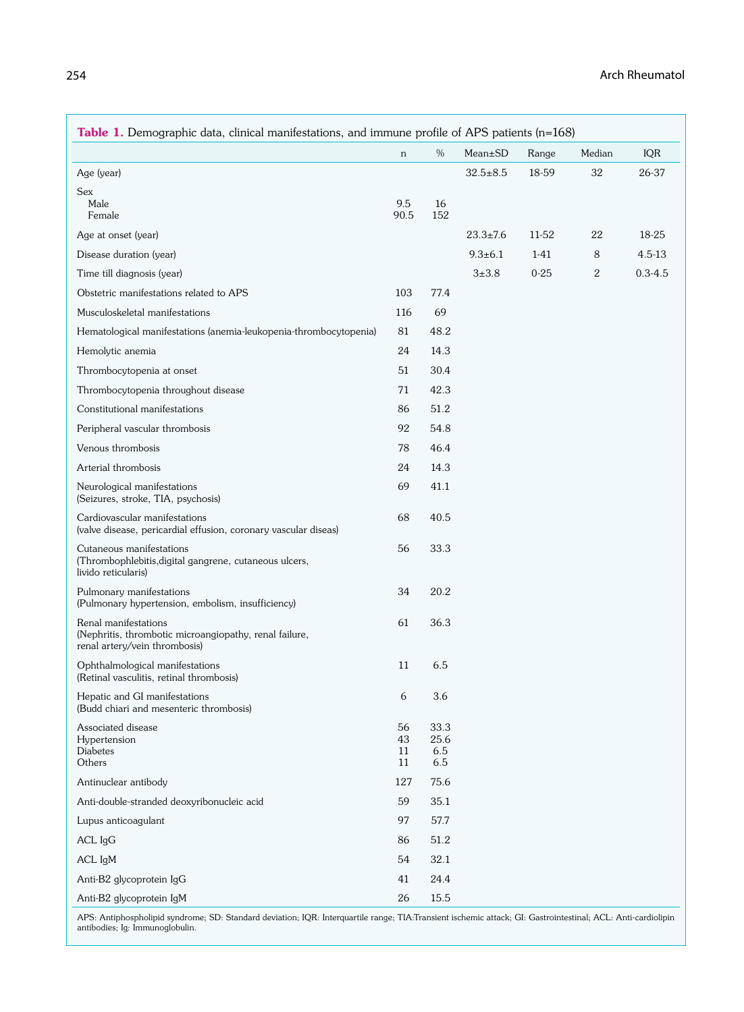| Table 1. Demographic data, clinical manifestations, and immune profile of APS patients $(n=168)$                |                      |                            |                |          |        |             |
|-----------------------------------------------------------------------------------------------------------------|----------------------|----------------------------|----------------|----------|--------|-------------|
|                                                                                                                 | $\,$ n               | %                          | $Mean \pm SD$  | Range    | Median | IQR         |
| Age (year)                                                                                                      |                      |                            | $32.5 \pm 8.5$ | 18-59    | 32     | 26-37       |
| <b>Sex</b><br>Male<br>Female                                                                                    | 9.5<br>90.5          | 16<br>152                  |                |          |        |             |
| Age at onset (year)                                                                                             |                      |                            | $23.3 \pm 7.6$ | 11-52    | 22     | 18-25       |
| Disease duration (year)                                                                                         |                      |                            | $9.3 \pm 6.1$  | $1-41$   | 8      | 4.5-13      |
| Time till diagnosis (year)                                                                                      |                      |                            | $3 + 3.8$      | $0 - 25$ | 2      | $0.3 - 4.5$ |
| Obstetric manifestations related to APS                                                                         | 103                  | 77.4                       |                |          |        |             |
| Musculoskeletal manifestations                                                                                  | 116                  | 69                         |                |          |        |             |
| Hematological manifestations (anemia-leukopenia-thrombocytopenia)                                               | 81                   | 48.2                       |                |          |        |             |
| Hemolytic anemia                                                                                                | 24                   | 14.3                       |                |          |        |             |
| Thrombocytopenia at onset                                                                                       | 51                   | 30.4                       |                |          |        |             |
| Thrombocytopenia throughout disease                                                                             | 71                   | 42.3                       |                |          |        |             |
| Constitutional manifestations                                                                                   | 86                   | 51.2                       |                |          |        |             |
| Peripheral vascular thrombosis                                                                                  | 92                   | 54.8                       |                |          |        |             |
| Venous thrombosis                                                                                               | 78                   | 46.4                       |                |          |        |             |
| Arterial thrombosis                                                                                             | 24                   | 14.3                       |                |          |        |             |
| Neurological manifestations<br>(Seizures, stroke, TIA, psychosis)                                               | 69                   | 41.1                       |                |          |        |             |
| Cardiovascular manifestations<br>(valve disease, pericardial effusion, coronary vascular diseas)                | 68                   | 40.5                       |                |          |        |             |
| Cutaneous manifestations<br>(Thrombophlebitis, digital gangrene, cutaneous ulcers,<br>livido reticularis)       | 56                   | 33.3                       |                |          |        |             |
| Pulmonary manifestations<br>(Pulmonary hypertension, embolism, insufficiency)                                   | 34                   | 20.2                       |                |          |        |             |
| Renal manifestations<br>(Nephritis, thrombotic microangiopathy, renal failure,<br>renal artery/vein thrombosis) | 61                   | 36.3                       |                |          |        |             |
| Ophthalmological manifestations<br>(Retinal vasculitis, retinal thrombosis)                                     | 11                   | 6.5                        |                |          |        |             |
| Hepatic and GI manifestations<br>(Budd chiari and mesenteric thrombosis)                                        | 6                    | 3.6                        |                |          |        |             |
| Associated disease<br>Hypertension<br><b>Diabetes</b><br>Others                                                 | 56<br>43<br>11<br>11 | 33.3<br>25.6<br>6.5<br>6.5 |                |          |        |             |
| Antinuclear antibody                                                                                            | 127                  | 75.6                       |                |          |        |             |
| Anti-double-stranded deoxyribonucleic acid                                                                      | 59                   | 35.1                       |                |          |        |             |
| Lupus anticoagulant                                                                                             | 97                   | 57.7                       |                |          |        |             |
| $ACL$ $IgG$                                                                                                     | 86                   | 51.2                       |                |          |        |             |
| ACL IgM                                                                                                         | 54                   | 32.1                       |                |          |        |             |
| Anti-B2 glycoprotein IgG                                                                                        | 41                   | 24.4                       |                |          |        |             |
| Anti-B2 glycoprotein IgM                                                                                        | 26                   | 15.5                       |                |          |        |             |

APS: Antiphospholipid syndrome; SD: Standard deviation; IQR: Interquartile range; TIA:Transient ischemic attack; GI: Gastrointestinal; ACL: Anti-cardiolipin antibodies; Ig: Immunoglobulin.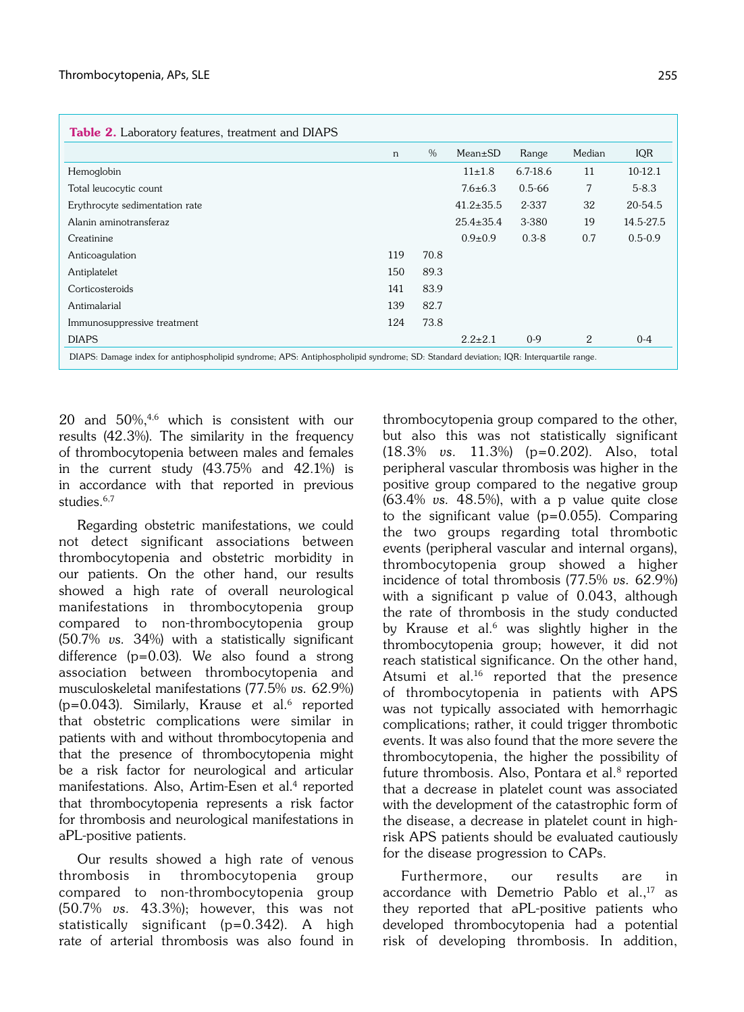|                                | n   | %    | $Mean \pm SD$   | Range        | Median | IQR         |
|--------------------------------|-----|------|-----------------|--------------|--------|-------------|
| Hemoglobin                     |     |      | $11\pm1.8$      | $6.7 - 18.6$ | 11     | $10-12.1$   |
| Total leucocytic count         |     |      | $7.6 \pm 6.3$   | $0.5 - 66$   | 7      | $5 - 8.3$   |
| Erythrocyte sedimentation rate |     |      | $41.2 \pm 35.5$ | 2-337        | 32     | 20-54.5     |
| Alanin aminotransferaz         |     |      | $25.4 \pm 35.4$ | 3-380        | 19     | 14.5-27.5   |
| Creatinine                     |     |      | $0.9 \pm 0.9$   | $0.3 - 8$    | 0.7    | $0.5 - 0.9$ |
| Anticoagulation                | 119 | 70.8 |                 |              |        |             |
| Antiplatelet                   | 150 | 89.3 |                 |              |        |             |
| Corticosteroids                | 141 | 83.9 |                 |              |        |             |
| Antimalarial                   | 139 | 82.7 |                 |              |        |             |
| Immunosuppressive treatment    | 124 | 73.8 |                 |              |        |             |
| <b>DIAPS</b>                   |     |      | $2.2 \pm 2.1$   | $0-9$        | 2      | $0 - 4$     |

20 and 50%,4,6 which is consistent with our results (42.3%). The similarity in the frequency of thrombocytopenia between males and females in the current study (43.75% and 42.1%) is in accordance with that reported in previous studies.<sup>6,7</sup>

Regarding obstetric manifestations, we could not detect significant associations between thrombocytopenia and obstetric morbidity in our patients. On the other hand, our results showed a high rate of overall neurological manifestations in thrombocytopenia group compared to non-thrombocytopenia group (50.7% vs. 34%) with a statistically significant difference (p=0.03). We also found a strong association between thrombocytopenia and musculoskeletal manifestations (77.5% vs. 62.9%)  $(p=0.043)$ . Similarly, Krause et al.<sup>6</sup> reported that obstetric complications were similar in patients with and without thrombocytopenia and that the presence of thrombocytopenia might be a risk factor for neurological and articular manifestations. Also, Artim-Esen et al.<sup>4</sup> reported that thrombocytopenia represents a risk factor for thrombosis and neurological manifestations in aPL-positive patients.

Our results showed a high rate of venous thrombosis in thrombocytopenia group compared to non-thrombocytopenia group (50.7% vs. 43.3%); however, this was not statistically significant (p=0.342). A high rate of arterial thrombosis was also found in

thrombocytopenia group compared to the other, but also this was not statistically significant (18.3% vs. 11.3%) (p=0.202). Also, total peripheral vascular thrombosis was higher in the positive group compared to the negative group  $(63.4\%$  vs.  $48.5\%$ ), with a p value quite close to the significant value (p=0.055). Comparing the two groups regarding total thrombotic events (peripheral vascular and internal organs), thrombocytopenia group showed a higher incidence of total thrombosis (77.5% vs. 62.9%) with a significant p value of 0.043, although the rate of thrombosis in the study conducted by Krause et al.<sup>6</sup> was slightly higher in the thrombocytopenia group; however, it did not reach statistical significance. On the other hand, Atsumi et al.<sup>16</sup> reported that the presence of thrombocytopenia in patients with APS was not typically associated with hemorrhagic complications; rather, it could trigger thrombotic events. It was also found that the more severe the thrombocytopenia, the higher the possibility of future thrombosis. Also, Pontara et al.<sup>8</sup> reported that a decrease in platelet count was associated with the development of the catastrophic form of the disease, a decrease in platelet count in highrisk APS patients should be evaluated cautiously for the disease progression to CAPs.

Furthermore, our results are in accordance with Demetrio Pablo et al., $17$  as they reported that aPL-positive patients who developed thrombocytopenia had a potential risk of developing thrombosis. In addition,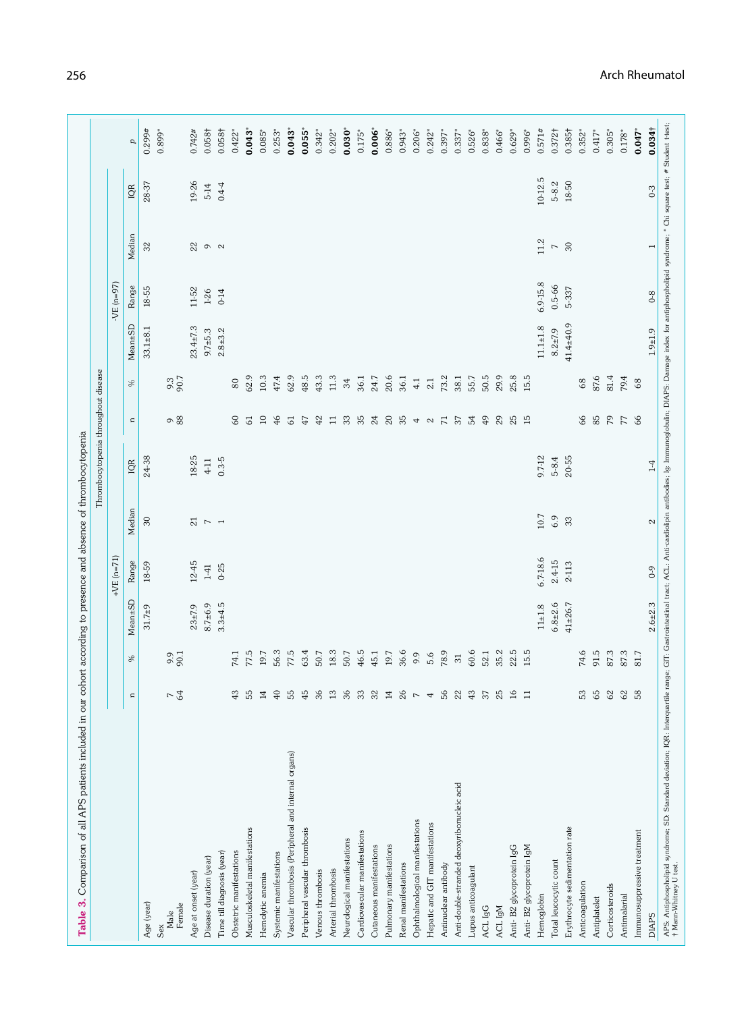|                                                      |                                |                            |               |              |                  | Thrombocytopenia throughout disease |                 |      |                |             |                          |             |                      |
|------------------------------------------------------|--------------------------------|----------------------------|---------------|--------------|------------------|-------------------------------------|-----------------|------|----------------|-------------|--------------------------|-------------|----------------------|
|                                                      |                                |                            |               | + $VE(n=71)$ |                  |                                     |                 |      |                | $-VE(n=97)$ |                          |             |                      |
|                                                      | $\approx$                      | S,                         | Mean±SD       | Range        | Median           | IQR                                 | $\mathbf{u}$    | ℅    | Mean±SD        | Range       | Median                   | <b>IQR</b>  | p                    |
| Age (year)                                           |                                |                            | $31.7 + 9$    | 18-59        | $30\,$           | 24-38                               |                 |      | $33.1 + 8.1$   | 18-55       | 32                       | 28-37       | 0.299#               |
| Female<br>Male<br>Sex                                | 64<br>$\overline{\phantom{0}}$ | 90.1                       |               |              |                  |                                     | 98              | 90.7 |                |             |                          |             | $0.899*$             |
| Age at onset (year)                                  |                                |                            | $23 + 7.9$    | 12-45        | 21               | 18-25                               |                 |      | $23.4 \pm 7.3$ | 11-52       | ೫                        | 19-26       | 0.742#               |
| Disease duration (year)                              |                                |                            | $8.7 + 6.9$   | $1-41$       | $\mathord{\sim}$ | $4-11$                              |                 |      | $9.7 + 5.3$    | $1 - 26$    | $\circ$ $\circ$          | $5-14$      | 0.058 <sup>†</sup>   |
| Time till diagnosis (year)                           |                                |                            | $3.3 + 4.5$   | $0 - 25$     | $\overline{ }$   | $0.3 - 5$                           |                 |      | $2.8 + 3.2$    | $0 - 14$    |                          | $0.4 - 4$   | 0.058 <sup>†</sup>   |
| Obstetric manifestations                             | 43                             | 74.1                       |               |              |                  |                                     | $\infty$        | 80   |                |             |                          |             | $0.422$ <sup>*</sup> |
| Musculoskeletal manifestations                       | 55                             | 77.5                       |               |              |                  |                                     | $\overline{6}$  | 62.9 |                |             |                          |             | 0.043                |
| Hemolytic anemia                                     | $\Xi$                          | 19.7                       |               |              |                  |                                     | $10$            | 10.3 |                |             |                          |             | $0.085$ <sup>*</sup> |
| Systemic manifestations                              | $\frac{1}{4}$                  | 56.3                       |               |              |                  |                                     | $\frac{4}{6}$   | 47.4 |                |             |                          |             | $0.253*$             |
| Vascular thrombosis (Peripheral and internal organs) | 55                             | 77.5                       |               |              |                  |                                     | 5               | 62.9 |                |             |                          |             | 0.043                |
| Peripheral vascular thrombosis                       | 45                             | 63.4                       |               |              |                  |                                     | 47              | 48.5 |                |             |                          |             | $0.055$ <sup>*</sup> |
| Venous thrombosis                                    | 36                             | 50.7                       |               |              |                  |                                     | $^{42}$         | 43.3 |                |             |                          |             | $0.342^*$            |
| Arterial thrombosis                                  | $\Xi$                          | 18.3                       |               |              |                  |                                     | $\overline{1}$  | 11.3 |                |             |                          |             | $0.202*$             |
| Neurological manifestations                          | 36                             | 50.7                       |               |              |                  |                                     | 33              | 34   |                |             |                          |             | $0.030$ <sup>*</sup> |
| Cardiovascular manifestations                        | ္က                             | 46.5                       |               |              |                  |                                     | 35              | 36.1 |                |             |                          |             | $0.175*$             |
| Cutaneous manifestations                             | $\approx$                      | 45.1                       |               |              |                  |                                     | 24              | 24.7 |                |             |                          |             | $0.006$ <sup>*</sup> |
| Pulmonary manifestations                             | $\Xi$                          | 19.7                       |               |              |                  |                                     | $20\,$          | 20.6 |                |             |                          |             | $0.886*$             |
| Renal manifestations                                 | $\alpha$                       | 36.6                       |               |              |                  |                                     | 35              | 36.1 |                |             |                          |             | $0.943*$             |
| Ophthalmological manifestations                      | $\overline{r}$                 | 9.9                        |               |              |                  |                                     | 4 <sub>o</sub>  | 4.1  |                |             |                          |             | $0.206*$             |
| Hepatic and GIT manifestations                       | 4                              | 5.6                        |               |              |                  |                                     |                 | 2.1  |                |             |                          |             | $0.242*$             |
| Antinuclear antibody                                 | 56                             | 78.9                       |               |              |                  |                                     | $\overline{71}$ | 73.2 |                |             |                          |             | $0.397*$             |
| Anti-double-stranded deoxyribonucleic acid           | $\overline{2}$                 | $\overline{\phantom{0}}31$ |               |              |                  |                                     | 57              | 38.1 |                |             |                          |             | $0.337*$             |
| Lupus anticoagulant                                  | 43                             | 60.6                       |               |              |                  |                                     | 54              | 55.7 |                |             |                          |             | $0.526*$             |
| ACL IgG                                              | 37                             | 52.1                       |               |              |                  |                                     | 49              | 50.5 |                |             |                          |             | $0.838*$             |
| ACL IgM                                              | $\alpha$                       | 35.2                       |               |              |                  |                                     | $^{29}$         | 29.9 |                |             |                          |             | $0.466$ <sup>*</sup> |
| Anti-B2 glycoprotein IgG                             | $\approx$                      | 22.5                       |               |              |                  |                                     | 25              | 25.8 |                |             |                          |             | $0.629*$             |
| Anti-B2 glycoprotein IgM                             | Ξ                              | 15.5                       |               |              |                  |                                     | 15              | 15.5 |                |             |                          |             | 0.996*               |
| Hemoglobin                                           |                                |                            | $11 \pm 1.8$  | 6.7-18.6     | 10.7             | 9.7-12                              |                 |      | $11.1 \pm 1.8$ | 6.9-15.8    | 11.2                     | $10 - 12.5$ | 0.571#               |
| Total leucocytic count                               |                                |                            | $6.8 + 2.6$   | 2.4-15       | 6.9              | $5 - 8.4$                           |                 |      | $8.2 \pm 7.9$  | $0.5 - 66$  | $\overline{\phantom{a}}$ | $5 - 8.2$   | 0.372 <sup>†</sup>   |
| Erythrocyte sedimentation rate                       |                                |                            | $41 \pm 26.7$ | 2-113        | 33               | 20-55                               |                 |      | $41.4 + 40.9$  | 5-337       | 30                       | 18-50       | 0.385†               |
| Anticoagulation                                      | 53                             | 74.6                       |               |              |                  |                                     | 66              | 68   |                |             |                          |             | $0.352*$             |
| Antiplatelet                                         | 65                             | 91.5                       |               |              |                  |                                     | 85              | 87.6 |                |             |                          |             | $0.417*$             |
| Corticosteroids                                      | $\mathcal{S}$                  | 87.3                       |               |              |                  |                                     | 54              | 81.4 |                |             |                          |             | $0.305*$             |
| Antimalarial                                         | 62                             | 87.3                       |               |              |                  |                                     | $77\,$          | 79.4 |                |             |                          |             | $0.178*$             |
| Immunosuppressive treatment                          | 58                             | 81.7                       |               |              |                  |                                     | 66              | 68   |                |             |                          |             | $0.047$ *            |
| <b>DIAPS</b>                                         |                                |                            | $2.6 + 2.3$   | $6 - 0$      | $\mathfrak{a}$   | $1-4$                               |                 |      | $1.9 + 1.9$    | $0 - 8$     | T                        | $0-3$       | 0.034 <sup>†</sup>   |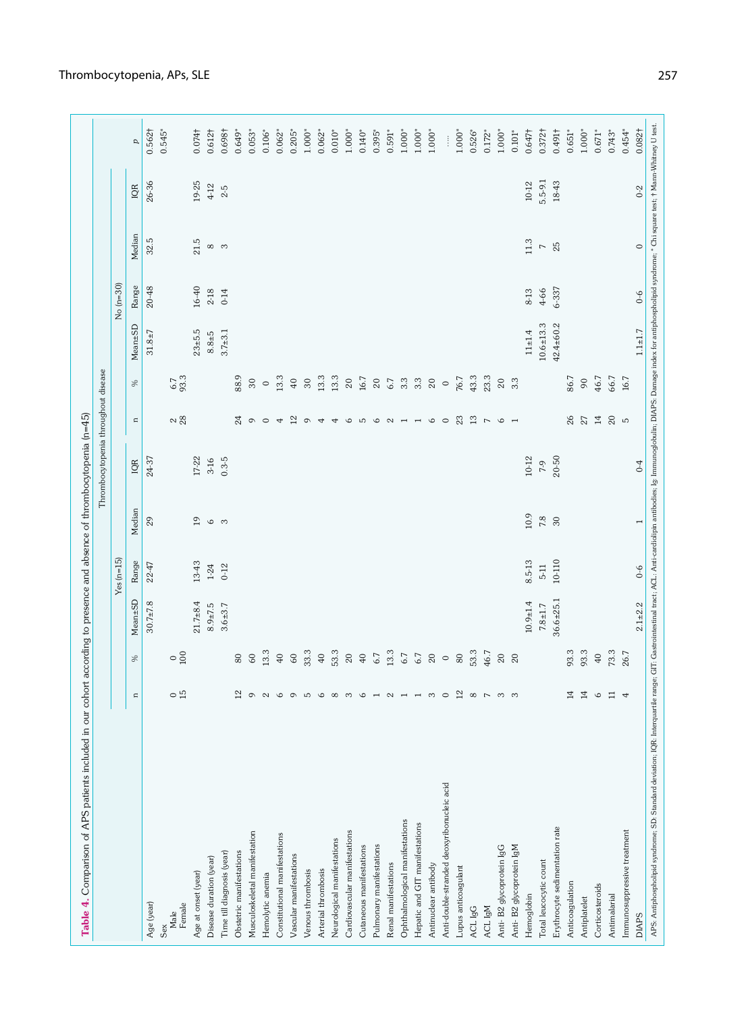| <b>Table 4.</b> Comparison of APS patients included in our cohort according to presence and absence of thrombocytopenia (n=45) |                          |                      |                 |               |                                                                                                                                                                                       |                                     |                          |                  |               |            |                          |           |                      |
|--------------------------------------------------------------------------------------------------------------------------------|--------------------------|----------------------|-----------------|---------------|---------------------------------------------------------------------------------------------------------------------------------------------------------------------------------------|-------------------------------------|--------------------------|------------------|---------------|------------|--------------------------|-----------|----------------------|
|                                                                                                                                |                          |                      |                 |               |                                                                                                                                                                                       | Thrombocytopenia throughout disease |                          |                  |               |            |                          |           |                      |
|                                                                                                                                |                          |                      |                 | $Yes(n=15)$   |                                                                                                                                                                                       |                                     |                          |                  |               | $No(n=30)$ |                          |           |                      |
|                                                                                                                                | $\mathbf{r}$             | S,                   | Mean±SD         | Range         | Median                                                                                                                                                                                | IQR                                 | $\mathbf{u}$             | S,               | Mean±SD       | Range      | Median                   | IQR       | p                    |
| Age (year)                                                                                                                     |                          |                      | $30.7 \pm 7.8$  | $22 - 47$     | $_{29}$                                                                                                                                                                               | 24-37                               |                          |                  | $31.8 \pm 7$  | 20-48      | 32.5                     | 26-36     | $0.562\dagger$       |
| Female<br>Male<br>Sex                                                                                                          | $\sim$ m.                | $\circ\frac{8}{100}$ |                 |               |                                                                                                                                                                                       |                                     | $\approx 28$             | $6.7$<br>93.3    |               |            |                          |           | $0.545*$             |
| Age at onset (year)                                                                                                            |                          |                      | $21.7 + 8.4$    | $13-43$       | 19                                                                                                                                                                                    | $17 - 22$                           |                          |                  | $23 + 5.5$    | 16-40      | 21.5                     | 19-25     | 0.074 <sup>†</sup>   |
| Disease duration (year)                                                                                                        |                          |                      | $8.9 \pm 7.5$   | $1\mbox{-}24$ | ဖော                                                                                                                                                                                   | $3-16$                              |                          |                  | $8.8 + 5$     | $2 - 18$   | $\infty$ m               | $4 - 12$  | $0.612\dagger$       |
| Time till diagnosis (year)                                                                                                     |                          |                      | $3.6 + 3.7$     | $0-12$        |                                                                                                                                                                                       | $0.3 - 5$                           |                          |                  | $3.7 + 3.1$   | $0 - 14$   |                          | $2-5$     | 0.698†               |
| Obstetric manifestations                                                                                                       | 5                        | $80\,$               |                 |               |                                                                                                                                                                                       |                                     | 24                       | 88.9             |               |            |                          |           | $0.649*$             |
| Musculoskeletal manifestation                                                                                                  |                          | 60                   |                 |               |                                                                                                                                                                                       |                                     | $\circ$                  | $30\,$           |               |            |                          |           | $0.053*$             |
| Hemolytic anemia                                                                                                               |                          | 13.3                 |                 |               |                                                                                                                                                                                       |                                     |                          | $\circ$          |               |            |                          |           | $0.106*$             |
| Constitutional manifestations                                                                                                  |                          | $40\,$               |                 |               |                                                                                                                                                                                       |                                     | $\overline{4}$           | 13.3             |               |            |                          |           | $0.062*$             |
| Vascular manifestations                                                                                                        |                          | $60\,$               |                 |               |                                                                                                                                                                                       |                                     | 12                       | 40               |               |            |                          |           | $0.205*$             |
| Venous thrombosis                                                                                                              |                          | 33.3                 |                 |               |                                                                                                                                                                                       |                                     | $\circ$                  | $30\,$           |               |            |                          |           | $1.000*$             |
| Arterial thrombosis                                                                                                            |                          | 40                   |                 |               |                                                                                                                                                                                       |                                     | 4                        | 13.3             |               |            |                          |           | $0.062*$             |
| Neurological manifestations                                                                                                    |                          | 53.3                 |                 |               |                                                                                                                                                                                       |                                     | $\overline{4}$           | 13.3             |               |            |                          |           | $0.010*$             |
| Cardiovascular manifestations                                                                                                  |                          | $20\,$               |                 |               |                                                                                                                                                                                       |                                     | $\circ$                  | $20\,$           |               |            |                          |           | $1.000*$             |
| Cutaneous manifestations                                                                                                       |                          | 40                   |                 |               |                                                                                                                                                                                       |                                     |                          | $16.7\,$         |               |            |                          |           | $0.140*$             |
| Pulmonary manifestations                                                                                                       |                          | 6.7                  |                 |               |                                                                                                                                                                                       |                                     |                          | $20\,$           |               |            |                          |           | $0.395$ <sup>*</sup> |
| Renal manifestations                                                                                                           |                          | 13.3                 |                 |               |                                                                                                                                                                                       |                                     | 500N <sub>1</sub>        | 6.7              |               |            |                          |           | $0.591*$             |
| Ophthalmological manifestations                                                                                                |                          | $6.7$                |                 |               |                                                                                                                                                                                       |                                     |                          | $3.3\,$          |               |            |                          |           | $1.000*$             |
| Hepatic and GIT manifestations                                                                                                 |                          | $6.7\,$              |                 |               |                                                                                                                                                                                       |                                     | $\overline{\phantom{a}}$ | $3.\overline{3}$ |               |            |                          |           | $1.000*$             |
| Antinuclear antibody                                                                                                           |                          | $20\,$               |                 |               |                                                                                                                                                                                       |                                     | $\circ$                  | $20\,$           |               |            |                          |           | $1.000*$             |
| Anti-double-stranded deoxyribonucleic acid                                                                                     |                          | $\circ$              |                 |               |                                                                                                                                                                                       |                                     | $\circ$                  | $\circ$          |               |            |                          |           | $\vdots$             |
| Lupus anticoagulant                                                                                                            | 5                        | $80\,$               |                 |               |                                                                                                                                                                                       |                                     | 23                       | 76.7             |               |            |                          |           | $1.000*$             |
| ACL IgG                                                                                                                        | $\sim$                   | 53.3                 |                 |               |                                                                                                                                                                                       |                                     | $13\,$                   | 43.3             |               |            |                          |           | $0.526*$             |
| ACL IgM                                                                                                                        |                          | 46.7                 |                 |               |                                                                                                                                                                                       |                                     | $\overline{\phantom{a}}$ | 23.3             |               |            |                          |           | $0.172$ <sup>*</sup> |
| Anti-B2 glycoprotein IgG                                                                                                       |                          | $\rm 20$             |                 |               |                                                                                                                                                                                       |                                     | $\circ$                  | $20\,$           |               |            |                          |           | $1.000*$             |
| Anti-B2 glycoprotein IgM                                                                                                       |                          | 20                   |                 |               |                                                                                                                                                                                       |                                     |                          | $3.\overline{3}$ |               |            |                          |           | $0.101*$             |
| Hemoglobin                                                                                                                     |                          |                      | $10.9 + 1.4$    | 8.5-13        | 10.9                                                                                                                                                                                  | $10 - 12$                           |                          |                  | $11 + 1.4$    | 8-13       | 11.3                     | $10 - 12$ | $0.647\dagger$       |
| Total leucocytic count                                                                                                         |                          |                      | $7.8 + 1.7$     | $5-11$        | $7.8$                                                                                                                                                                                 | 7-9                                 |                          |                  | $10.6 + 13.3$ | 4-66       | $\overline{\phantom{0}}$ | 5.5-9.1   | 0.372 <sup>†</sup>   |
| Erythrocyte sedimentation rate                                                                                                 |                          |                      | $36.6 \pm 25.1$ | 10-110        | $30\,$                                                                                                                                                                                | $20 - 50$                           |                          |                  | $42.4 + 60.2$ | 6-337      | 25                       | 18-43     | 16401                |
| Anticoagulation                                                                                                                | 4                        | 93.3                 |                 |               |                                                                                                                                                                                       |                                     | 26                       | 86.7             |               |            |                          |           | $0.651*$             |
| Antiplatelet                                                                                                                   | 4                        | 93.3                 |                 |               |                                                                                                                                                                                       |                                     | $\rm 27$                 | $^{90}$          |               |            |                          |           | $1.000*$             |
| Corticosteroids                                                                                                                | $\sqrt{2}$               | $40\,$               |                 |               |                                                                                                                                                                                       |                                     | 14                       | 46.7             |               |            |                          |           | $0.671$ *            |
| Antimalarial                                                                                                                   | $\overline{\phantom{0}}$ | 73.3                 |                 |               |                                                                                                                                                                                       |                                     | 20p                      | 66.7             |               |            |                          |           | $0.743*$             |
| Immunosuppressive treatment                                                                                                    |                          | 26.7                 |                 |               |                                                                                                                                                                                       |                                     |                          | 16.7             |               |            |                          |           | $0.454*$             |
| <b>DIAPS</b>                                                                                                                   |                          |                      | $2.1 + 2.2$     | $0 - 6$       |                                                                                                                                                                                       | $^{0-4}$                            |                          |                  | $1.1 + 1.7$   | $6-6$      | $\circ$                  | $0-2$     | $0.082\dagger$       |
| APS: Antiphospholipid syndrome; SD: Standard deviation; IQR: Interquartile                                                     |                          |                      |                 |               | range; GIT: Gastrointestinal tract; ACL: Anti-cardiolipin antibodies; Ig: Immunoglobulin; DIAPS: Danage index for antiphospholipid syndrome; "Chi square test; † Mann-Whitney U test. |                                     |                          |                  |               |            |                          |           |                      |

## Thrombocytopenia, APs, SLE 257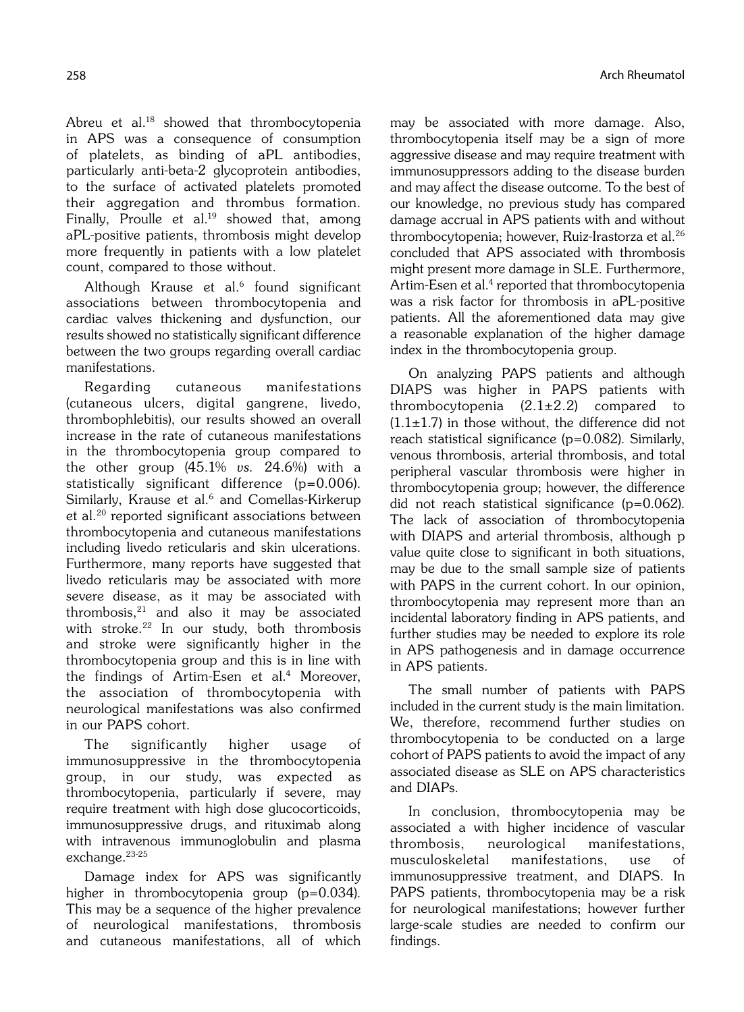Abreu et al.<sup>18</sup> showed that thrombocytopenia in APS was a consequence of consumption of platelets, as binding of aPL antibodies, particularly anti-beta-2 glycoprotein antibodies, to the surface of activated platelets promoted their aggregation and thrombus formation. Finally, Proulle et al.<sup>19</sup> showed that, among aPL-positive patients, thrombosis might develop more frequently in patients with a low platelet count, compared to those without.

Although Krause et al.<sup>6</sup> found significant associations between thrombocytopenia and cardiac valves thickening and dysfunction, our results showed no statistically significant difference between the two groups regarding overall cardiac manifestations.

Regarding cutaneous manifestations (cutaneous ulcers, digital gangrene, livedo, thrombophlebitis), our results showed an overall increase in the rate of cutaneous manifestations in the thrombocytopenia group compared to the other group  $(45.1\% \text{ vs. } 24.6\%)$  with a statistically significant difference (p=0.006). Similarly, Krause et al.<sup>6</sup> and Comellas-Kirkerup et al.20 reported significant associations between thrombocytopenia and cutaneous manifestations including livedo reticularis and skin ulcerations. Furthermore, many reports have suggested that livedo reticularis may be associated with more severe disease, as it may be associated with thrombosis,21 and also it may be associated with stroke.22 In our study, both thrombosis and stroke were significantly higher in the thrombocytopenia group and this is in line with the findings of Artim-Esen et al.<sup>4</sup> Moreover, the association of thrombocytopenia with neurological manifestations was also confirmed in our PAPS cohort.

The significantly higher usage of immunosuppressive in the thrombocytopenia group, in our study, was expected as thrombocytopenia, particularly if severe, may require treatment with high dose glucocorticoids, immunosuppressive drugs, and rituximab along with intravenous immunoglobulin and plasma exchange.23-25

Damage index for APS was significantly higher in thrombocytopenia group (p=0.034). This may be a sequence of the higher prevalence of neurological manifestations, thrombosis and cutaneous manifestations, all of which may be associated with more damage. Also, thrombocytopenia itself may be a sign of more aggressive disease and may require treatment with immunosuppressors adding to the disease burden and may affect the disease outcome. To the best of our knowledge, no previous study has compared damage accrual in APS patients with and without thrombocytopenia; however, Ruiz-Irastorza et al.26 concluded that APS associated with thrombosis might present more damage in SLE. Furthermore, Artim-Esen et al.<sup>4</sup> reported that thrombocytopenia was a risk factor for thrombosis in aPL-positive patients. All the aforementioned data may give a reasonable explanation of the higher damage index in the thrombocytopenia group.

On analyzing PAPS patients and although DIAPS was higher in PAPS patients with thrombocytopenia  $(2.1\pm2.2)$  compared to  $(1.1\pm1.7)$  in those without, the difference did not reach statistical significance (p=0.082). Similarly, venous thrombosis, arterial thrombosis, and total peripheral vascular thrombosis were higher in thrombocytopenia group; however, the difference did not reach statistical significance (p=0.062). The lack of association of thrombocytopenia with DIAPS and arterial thrombosis, although p value quite close to significant in both situations, may be due to the small sample size of patients with PAPS in the current cohort. In our opinion, thrombocytopenia may represent more than an incidental laboratory finding in APS patients, and further studies may be needed to explore its role in APS pathogenesis and in damage occurrence in APS patients.

The small number of patients with PAPS included in the current study is the main limitation. We, therefore, recommend further studies on thrombocytopenia to be conducted on a large cohort of PAPS patients to avoid the impact of any associated disease as SLE on APS characteristics and DIAPs.

In conclusion, thrombocytopenia may be associated a with higher incidence of vascular thrombosis, neurological manifestations, musculoskeletal manifestations, use of immunosuppressive treatment, and DIAPS. In PAPS patients, thrombocytopenia may be a risk for neurological manifestations; however further large-scale studies are needed to confirm our findings.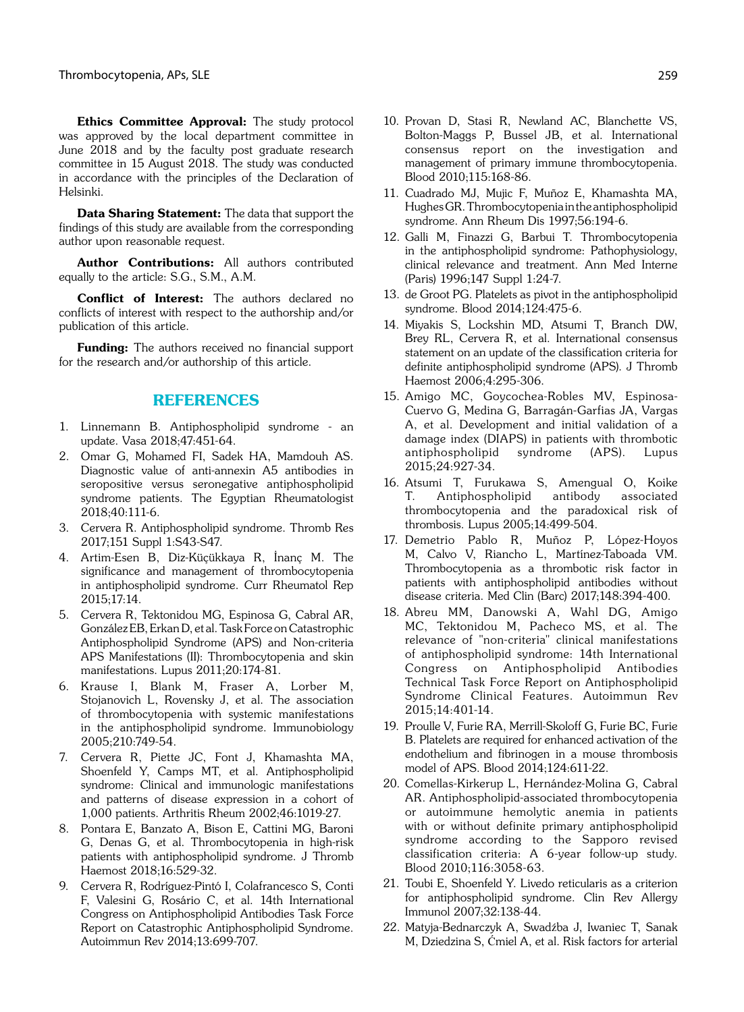Ethics Committee Approval: The study protocol was approved by the local department committee in June 2018 and by the faculty post graduate research committee in 15 August 2018. The study was conducted in accordance with the principles of the Declaration of Helsinki.

Data Sharing Statement: The data that support the findings of this study are available from the corresponding author upon reasonable request.

Author Contributions: All authors contributed equally to the article: S.G., S.M., A.M.

Conflict of Interest: The authors declared no conflicts of interest with respect to the authorship and/or publication of this article.

Funding: The authors received no financial support for the research and/or authorship of this article.

#### REFERENCES

- 1. Linnemann B. Antiphospholipid syndrome an update. Vasa 2018;47:451-64.
- 2. Omar G, Mohamed FI, Sadek HA, Mamdouh AS. Diagnostic value of anti-annexin A5 antibodies in seropositive versus seronegative antiphospholipid syndrome patients. The Egyptian Rheumatologist 2018;40:111-6.
- 3. Cervera R. Antiphospholipid syndrome. Thromb Res 2017;151 Suppl 1:S43-S47.
- 4. Artim-Esen B, Diz-Küçükkaya R, İnanç M. The significance and management of thrombocytopenia in antiphospholipid syndrome. Curr Rheumatol Rep 2015;17:14.
- 5. Cervera R, Tektonidou MG, Espinosa G, Cabral AR, González EB, Erkan D, et al. Task Force on Catastrophic Antiphospholipid Syndrome (APS) and Non-criteria APS Manifestations (II): Thrombocytopenia and skin manifestations. Lupus 2011;20:174-81.
- 6. Krause I, Blank M, Fraser A, Lorber M, Stojanovich L, Rovensky J, et al. The association of thrombocytopenia with systemic manifestations in the antiphospholipid syndrome. Immunobiology 2005;210:749-54.
- 7. Cervera R, Piette JC, Font J, Khamashta MA, Shoenfeld Y, Camps MT, et al. Antiphospholipid syndrome: Clinical and immunologic manifestations and patterns of disease expression in a cohort of 1,000 patients. Arthritis Rheum 2002;46:1019-27.
- 8. Pontara E, Banzato A, Bison E, Cattini MG, Baroni G, Denas G, et al. Thrombocytopenia in high-risk patients with antiphospholipid syndrome. J Thromb Haemost 2018;16:529-32.
- 9. Cervera R, Rodríguez-Pintó I, Colafrancesco S, Conti F, Valesini G, Rosário C, et al. 14th International Congress on Antiphospholipid Antibodies Task Force Report on Catastrophic Antiphospholipid Syndrome. Autoimmun Rev 2014;13:699-707.
- 10. Provan D, Stasi R, Newland AC, Blanchette VS, Bolton-Maggs P, Bussel JB, et al. International consensus report on the investigation and management of primary immune thrombocytopenia. Blood 2010;115:168-86.
- 11. Cuadrado MJ, Mujic F, Muñoz E, Khamashta MA, Hughes GR. Thrombocytopenia in the antiphospholipid syndrome. Ann Rheum Dis 1997;56:194-6.
- 12. Galli M, Finazzi G, Barbui T. Thrombocytopenia in the antiphospholipid syndrome: Pathophysiology, clinical relevance and treatment. Ann Med Interne (Paris) 1996;147 Suppl 1:24-7.
- 13. de Groot PG. Platelets as pivot in the antiphospholipid syndrome. Blood 2014;124:475-6.
- 14. Miyakis S, Lockshin MD, Atsumi T, Branch DW, Brey RL, Cervera R, et al. International consensus statement on an update of the classification criteria for definite antiphospholipid syndrome (APS). J Thromb Haemost 2006;4:295-306.
- 15. Amigo MC, Goycochea-Robles MV, Espinosa-Cuervo G, Medina G, Barragán-Garfias JA, Vargas A, et al. Development and initial validation of a damage index (DIAPS) in patients with thrombotic antiphospholipid syndrome (APS). Lupus 2015;24:927-34.
- 16. Atsumi T, Furukawa S, Amengual O, Koike T. Antiphospholipid antibody associated thrombocytopenia and the paradoxical risk of thrombosis. Lupus 2005;14:499-504.
- 17. Demetrio Pablo R, Muñoz P, López-Hoyos M, Calvo V, Riancho L, Martínez-Taboada VM. Thrombocytopenia as a thrombotic risk factor in patients with antiphospholipid antibodies without disease criteria. Med Clin (Barc) 2017;148:394-400.
- 18. Abreu MM, Danowski A, Wahl DG, Amigo MC, Tektonidou M, Pacheco MS, et al. The relevance of "non-criteria" clinical manifestations of antiphospholipid syndrome: 14th International Congress on Antiphospholipid Antibodies Technical Task Force Report on Antiphospholipid Syndrome Clinical Features. Autoimmun Rev 2015;14:401-14.
- 19. Proulle V, Furie RA, Merrill-Skoloff G, Furie BC, Furie B. Platelets are required for enhanced activation of the endothelium and fibrinogen in a mouse thrombosis model of APS. Blood 2014;124:611-22.
- 20. Comellas-Kirkerup L, Hernández-Molina G, Cabral AR. Antiphospholipid-associated thrombocytopenia or autoimmune hemolytic anemia in patients with or without definite primary antiphospholipid syndrome according to the Sapporo revised classification criteria: A 6-year follow-up study. Blood 2010;116:3058-63.
- 21. Toubi E, Shoenfeld Y. Livedo reticularis as a criterion for antiphospholipid syndrome. Clin Rev Allergy Immunol 2007;32:138-44.
- 22. Matyja-Bednarczyk A, Swadźba J, Iwaniec T, Sanak M, Dziedzina S, Ćmiel A, et al. Risk factors for arterial